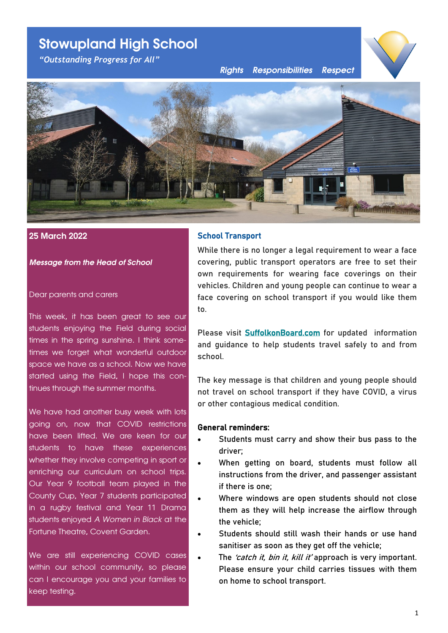# **Stowupland High School**

*"Outstanding Progress for All"*

*Rights Responsibilities Respect*





#### **25 March 2022**

*Message from the Head of School*

#### Dear parents and carers

This week, it has been great to see our students enjoying the Field during social times in the spring sunshine. I think sometimes we forget what wonderful outdoor space we have as a school. Now we have started using the Field, I hope this continues through the summer months.

We have had another busy week with lots going on, now that COVID restrictions have been lifted. We are keen for our students to have these experiences whether they involve competing in sport or enriching our curriculum on school trips. Our Year 9 football team played in the County Cup, Year 7 students participated in a rugby festival and Year 11 Drama students enjoyed *A Women in Black* at the Fortune Theatre, Covent Garden.

We are still experiencing COVID cases within our school community, so please can I encourage you and your families to keep testing.

# School Transport

While there is no longer a legal requirement to wear a face covering, public transport operators are free to set their own requirements for wearing face coverings on their vehicles. Children and young people can continue to wear a face covering on school transport if you would like them to.

Please visit **[SuffolkonBoard.com](https://suffolk.us15.list-manage.com/track/click?u=5c2782ab1264cda5bb7f549a9&id=f1932ea192&e=7ef9c2b963)** for updated information and guidance to help students travel safely to and from school.

The key message is that children and young people should not travel on school transport if they have COVID, a virus or other contagious medical condition.

# General reminders:

- Students must carry and show their bus pass to the driver;
- When getting on board, students must follow all instructions from the driver, and passenger assistant if there is one;
- Where windows are open students should not close them as they will help increase the airflow through the vehicle;
- Students should still wash their hands or use hand sanitiser as soon as they get off the vehicle;
	- The 'catch it, bin it, kill it' approach is very important. Please ensure your child carries tissues with them on home to school transport.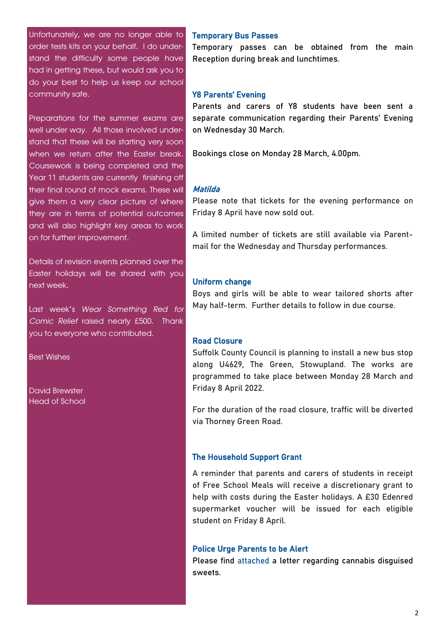Unfortunately, we are no longer able to order tests kits on your behalf. I do understand the difficulty some people have had in getting these, but would ask you to do your best to help us keep our school community safe.

Preparations for the summer exams are well under way. All those involved understand that these will be starting very soon when we return after the Easter break. Coursework is being completed and the Year 11 students are currently finishing off their final round of mock exams. These will give them a very clear picture of where they are in terms of potential outcomes and will also highlight key areas to work on for further improvement.

Details of revision events planned over the Easter holidays will be shared with you next week.

Last week's *Wear Something Red for Comic Relief* raised nearly £500. Thank you to everyone who contributed.

Best Wishes

David Brewster Head of School

#### Temporary Bus Passes

Temporary passes can be obtained from the main Reception during break and lunchtimes.

#### Y8 Parents' Evening

Parents and carers of Y8 students have been sent a separate communication regarding their Parents' Evening on Wednesday 30 March.

Bookings close on Monday 28 March, 4.00pm.

#### Matilda

Please note that tickets for the evening performance on Friday 8 April have now sold out.

A limited number of tickets are still available via Parentmail for the Wednesday and Thursday performances.

#### Uniform change

Boys and girls will be able to wear tailored shorts after May half-term. Further details to follow in due course.

# Road Closure

Suffolk County Council is planning to install a new bus stop along U4629, The Green, Stowupland. The works are programmed to take place between Monday 28 March and Friday 8 April 2022.

For the duration of the road closure, traffic will be diverted via Thorney Green Road.

#### The Household Support Grant

A reminder that parents and carers of students in receipt of Free School Meals will receive a discretionary grant to help with costs during the Easter holidays. A £30 Edenred supermarket voucher will be issued for each eligible student on Friday 8 April.

#### Police Urge Parents to be Alert

Please find [attached](https://docs.google.com/document/d/1ozvzkHNAUB52U8AG1viIYE4AaylvNXvw/edit?usp=sharing&ouid=107185064589666979777&rtpof=true&sd=true) a letter regarding cannabis disguised sweets.